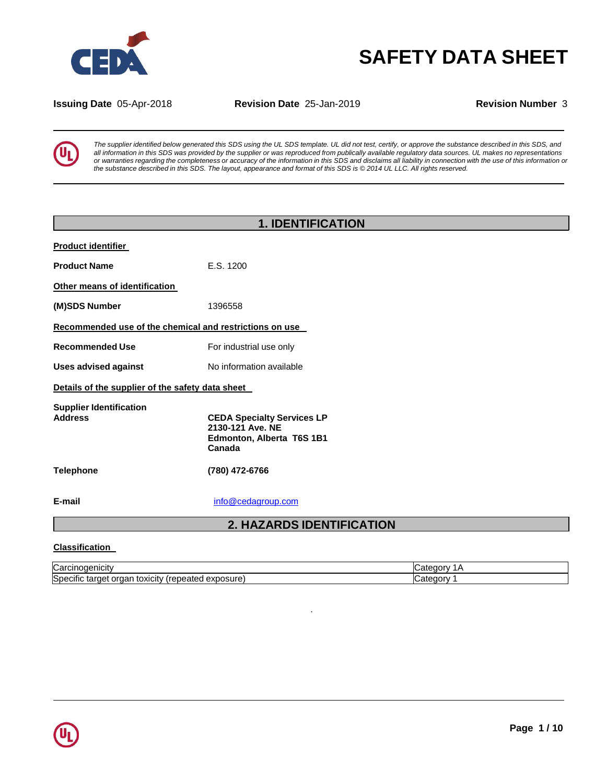

# **SAFETY DATA SHEET**

**Issuing Date** 05-Apr-2018 **Revision Date** 25-Jan-2019 **Revision Number** 3



The supplier identified below generated this SDS using the UL SDS template. UL did not test, certify, or approve the substance described in this SDS, and all information in this SDS was provided by the supplier or was reproduced from publically available regulatory data sources. UL makes no representations or warranties regarding the completeness or accuracy of the information in this SDS and disclaims all liability in connection with the use of this information or the substance described in this SDS. The layout, appearance and format of this SDS is @2014 UL LLC. All rights reserved.

# **1. IDENTIFICATION Product identifier Product Name** E.S. 1200 **Other means of identification (M)SDS Number** 1396558 **Recommended use of the chemical and restrictions on use Recommended Use** For industrial use only **Uses advised against** No information available **Details of the supplier of the safety data sheet Supplier Identification Address CEDA Specialty Services LP 2130-121 Ave. NE Edmonton, Alberta T6S 1B1 Canada Telephone (780) 472-6766 E-mail** [info@cedagroup.com](mailto:info@cedagroup.com) **2. HAZARDS IDENTIFICATION**

### **Classification**

| ∽<br>И<br>Carcinogenicity                                         | $\sim$ $\sim$ $\sim$ $\sim$<br>.atr |
|-------------------------------------------------------------------|-------------------------------------|
| Specific<br>exposure)<br>orgar<br>'repeated<br>toxicity<br>target | 17<br>$-20$<br>.ate                 |

.

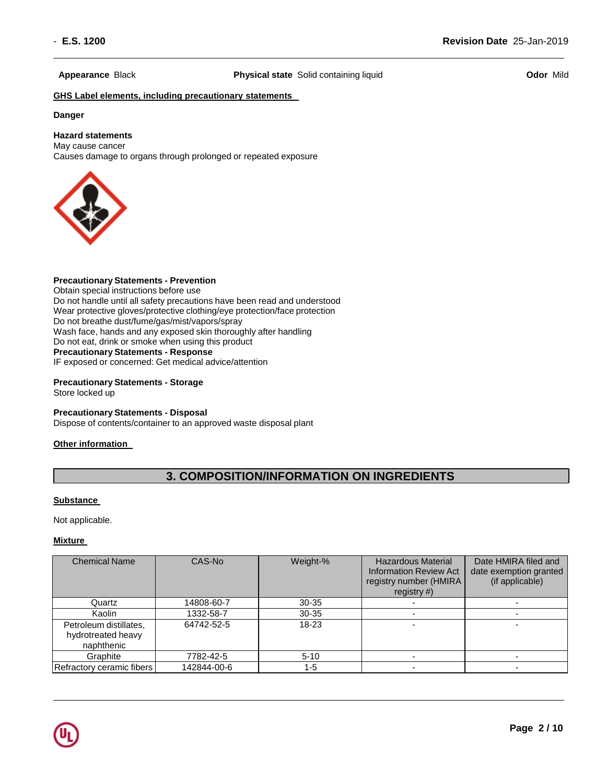**Appearance** Black **Physical state** Solid containing liquid **Odor** Mild

### **GHS Label elements, including precautionary statements**

#### **Danger**

## **Hazard statements**

May cause cancer Causes damage to organs through prolonged or repeated exposure



## **Precautionary Statements - Prevention**

Obtain special instructions before use Do not handle until all safety precautions have been read and understood Wear protective gloves/protective clothing/eye protection/face protection Do not breathe dust/fume/gas/mist/vapors/spray Wash face, hands and any exposed skin thoroughly after handling Do not eat, drink or smoke when using this product **Precautionary Statements - Response** IF exposed or concerned: Get medical advice/attention

**Precautionary Statements - Storage** Store locked up

## **Precautionary Statements - Disposal**

Dispose of contents/container to an approved waste disposal plant

## **Other information**

## **3. COMPOSITION/INFORMATION ON INGREDIENTS**

### **Substance**

Not applicable.

### **Mixture**

| <b>Chemical Name</b>                                       | CAS-No      | Weight-%  | <b>Hazardous Material</b><br><b>Information Review Act</b><br>registry number (HMIRA<br>registry $#$ ) | Date HMIRA filed and<br>date exemption granted<br>(if applicable) |
|------------------------------------------------------------|-------------|-----------|--------------------------------------------------------------------------------------------------------|-------------------------------------------------------------------|
| Quartz                                                     | 14808-60-7  | $30 - 35$ |                                                                                                        |                                                                   |
| Kaolin                                                     | 1332-58-7   | $30 - 35$ |                                                                                                        |                                                                   |
| Petroleum distillates,<br>hydrotreated heavy<br>naphthenic | 64742-52-5  | $18 - 23$ |                                                                                                        |                                                                   |
| Graphite                                                   | 7782-42-5   | $5 - 10$  |                                                                                                        |                                                                   |
| Refractory ceramic fibers                                  | 142844-00-6 | 1-5       |                                                                                                        |                                                                   |

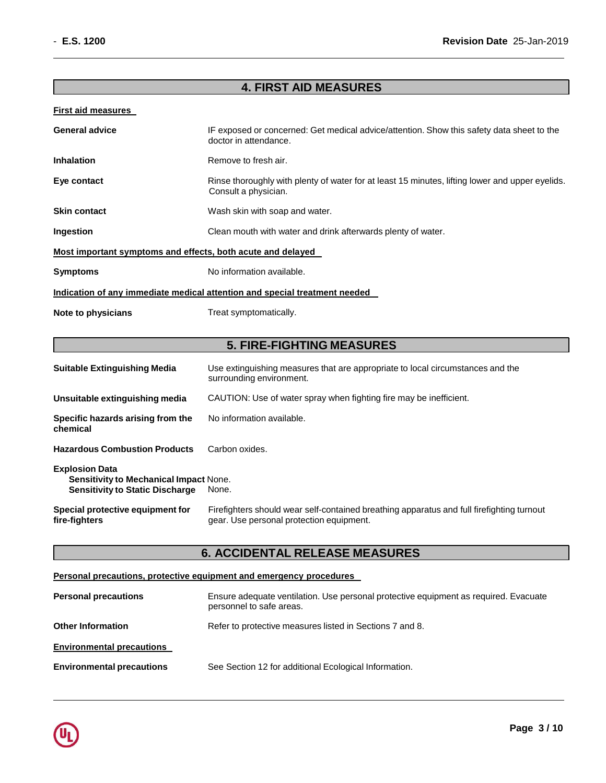## **4. FIRST AID MEASURES**

## **First aid measures**

| <b>General advice</b>                                       | IF exposed or concerned: Get medical advice/attention. Show this safety data sheet to the<br>doctor in attendance.      |
|-------------------------------------------------------------|-------------------------------------------------------------------------------------------------------------------------|
| <b>Inhalation</b>                                           | Remove to fresh air.                                                                                                    |
| Eye contact                                                 | Rinse thoroughly with plenty of water for at least 15 minutes, lifting lower and upper eyelids.<br>Consult a physician. |
| <b>Skin contact</b>                                         | Wash skin with soap and water.                                                                                          |
| Ingestion                                                   | Clean mouth with water and drink afterwards plenty of water.                                                            |
| Most important symptoms and effects, both acute and delayed |                                                                                                                         |
| <b>Symptoms</b>                                             | No information available.                                                                                               |
|                                                             | Indication of any immediate medical attention and special treatment needed                                              |
| Note to physicians                                          | Treat symptomatically.                                                                                                  |

## **5. FIRE-FIGHTING MEASURES**

| <b>Suitable Extinguishing Media</b>                                                                              | Use extinguishing measures that are appropriate to local circumstances and the<br>surrounding environment.                            |
|------------------------------------------------------------------------------------------------------------------|---------------------------------------------------------------------------------------------------------------------------------------|
| Unsuitable extinguishing media                                                                                   | CAUTION: Use of water spray when fighting fire may be inefficient.                                                                    |
| Specific hazards arising from the<br>chemical                                                                    | No information available.                                                                                                             |
| <b>Hazardous Combustion Products</b>                                                                             | Carbon oxides.                                                                                                                        |
| <b>Explosion Data</b><br><b>Sensitivity to Mechanical Impact None.</b><br><b>Sensitivity to Static Discharge</b> | None.                                                                                                                                 |
| Special protective equipment for<br>fire-fighters                                                                | Firefighters should wear self-contained breathing apparatus and full firefighting turnout<br>gear. Use personal protection equipment. |

## **6. ACCIDENTAL RELEASE MEASURES**

## **Personal precautions, protective equipment and emergency procedures**

| <b>Personal precautions</b>      | Ensure adequate ventilation. Use personal protective equipment as required. Evacuate<br>personnel to safe areas. |
|----------------------------------|------------------------------------------------------------------------------------------------------------------|
| <b>Other Information</b>         | Refer to protective measures listed in Sections 7 and 8.                                                         |
| <b>Environmental precautions</b> |                                                                                                                  |
| <b>Environmental precautions</b> | See Section 12 for additional Ecological Information.                                                            |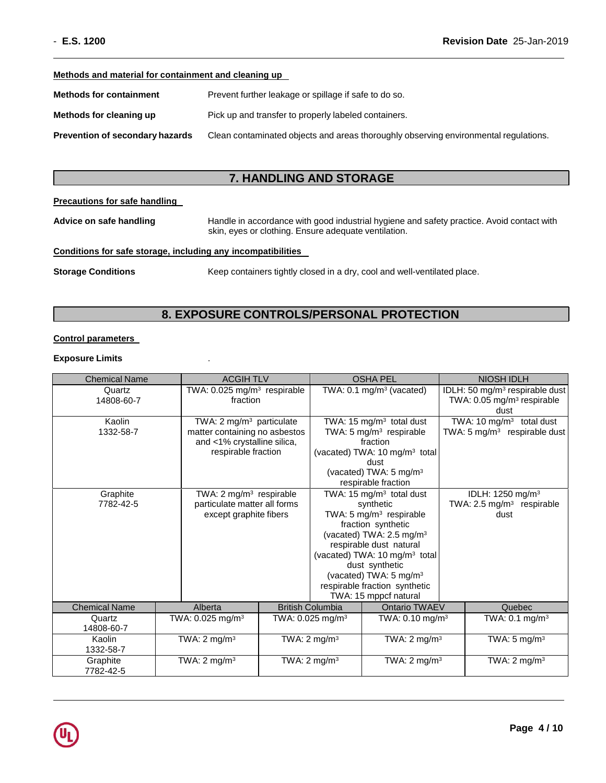#### **Methods and material for containment and cleaning up**

| <b>Methods for containment</b>         | Prevent further leakage or spillage if safe to do so.                                |
|----------------------------------------|--------------------------------------------------------------------------------------|
| Methods for cleaning up                | Pick up and transfer to properly labeled containers.                                 |
| <b>Prevention of secondary hazards</b> | Clean contaminated objects and areas thoroughly observing environmental regulations. |

## **7. HANDLING AND STORAGE**

#### **Precautions for safe handling**

**Advice on safe handling** Handle in accordance with good industrial hygiene and safety practice. Avoid contact with skin, eyes or clothing. Ensure adequate ventilation.

## **Conditions for safe storage, including any incompatibilities**

**Storage Conditions** Keep containers tightly closed in a dry, cool and well-ventilated place.

## **8. EXPOSURE CONTROLS/PERSONAL PROTECTION**

## **Control parameters**

## **Exposure Limits** .

| <b>Chemical Name</b> | <b>ACGIHTLV</b>                         |  |                                     | <b>OSHA PEL</b>                                            |  | <b>NIOSH IDLH</b>                                |            |
|----------------------|-----------------------------------------|--|-------------------------------------|------------------------------------------------------------|--|--------------------------------------------------|------------|
| Quartz               | TWA: 0.025 mg/m <sup>3</sup> respirable |  | TWA: $0.1 \text{ mg/m}^3$ (vacated) |                                                            |  | IDLH: 50 mg/m <sup>3</sup> respirable dust       |            |
| 14808-60-7           | fraction                                |  |                                     |                                                            |  | TWA: $0.05$ mg/m <sup>3</sup> respirable<br>dust |            |
| Kaolin               | TWA: $2 \text{ mg/m}^3$ particulate     |  |                                     | TWA: 15 mg/m $3$ total dust                                |  | $\overline{\text{TWA}}$ : 10 mg/m <sup>3</sup>   | total dust |
| 1332-58-7            | matter containing no asbestos           |  |                                     | TWA: 5 $mg/m3$ respirable                                  |  | TWA: $5 \text{ mg/m}^3$ respirable dust          |            |
|                      | and <1% crystalline silica,             |  |                                     | fraction                                                   |  |                                                  |            |
|                      | respirable fraction                     |  |                                     | (vacated) TWA: 10 mg/m <sup>3</sup> total                  |  |                                                  |            |
|                      |                                         |  |                                     | dust                                                       |  |                                                  |            |
|                      |                                         |  |                                     | (vacated) TWA: 5 mg/m <sup>3</sup>                         |  |                                                  |            |
|                      |                                         |  |                                     | respirable fraction                                        |  |                                                  |            |
| Graphite             | TWA: $2 \text{ mg/m}^3$ respirable      |  |                                     | TWA: 15 mg/m <sup>3</sup> total dust                       |  | IDLH: 1250 mg/m <sup>3</sup>                     |            |
| 7782-42-5            | particulate matter all forms            |  |                                     | synthetic                                                  |  | TWA: 2.5 mg/m <sup>3</sup> respirable            |            |
|                      | except graphite fibers                  |  |                                     | TWA: 5 mg/m <sup>3</sup> respirable                        |  | dust                                             |            |
|                      |                                         |  |                                     | fraction synthetic<br>(vacated) TWA: 2.5 mg/m <sup>3</sup> |  |                                                  |            |
|                      |                                         |  |                                     | respirable dust natural                                    |  |                                                  |            |
|                      |                                         |  |                                     | (vacated) TWA: 10 mg/m <sup>3</sup> total                  |  |                                                  |            |
|                      |                                         |  |                                     | dust synthetic                                             |  |                                                  |            |
|                      |                                         |  |                                     | (vacated) TWA: 5 mg/m <sup>3</sup>                         |  |                                                  |            |
|                      |                                         |  |                                     | respirable fraction synthetic                              |  |                                                  |            |
|                      |                                         |  |                                     | TWA: 15 mppcf natural                                      |  |                                                  |            |
| <b>Chemical Name</b> | Alberta                                 |  | <b>British Columbia</b>             | Ontario TWAEV                                              |  | Quebec                                           |            |
| Quartz               | TWA: $0.025$ mg/m <sup>3</sup>          |  | TWA: $0.025$ mg/m <sup>3</sup>      | TWA: $0.10$ mg/m <sup>3</sup>                              |  | TWA: $0.1 \text{ mg/m}^3$                        |            |
| 14808-60-7           |                                         |  |                                     |                                                            |  |                                                  |            |
| Kaolin               | TWA: $2 \text{ mg/m}^3$                 |  | TWA: $2 \text{ mg/m}^3$             | TWA: $2 \text{ mg/m}^3$                                    |  | TWA: $5 \text{ mg/m}^3$                          |            |
| 1332-58-7            |                                         |  |                                     |                                                            |  |                                                  |            |
| Graphite             | TWA: $2 \text{ mg/m}^3$                 |  | TWA: $2 \text{ mg/m}^3$             | TWA: $2 \text{ mg/m}^3$                                    |  | TWA: $2 \text{ mg/m}^3$                          |            |
| 7782-42-5            |                                         |  |                                     |                                                            |  |                                                  |            |

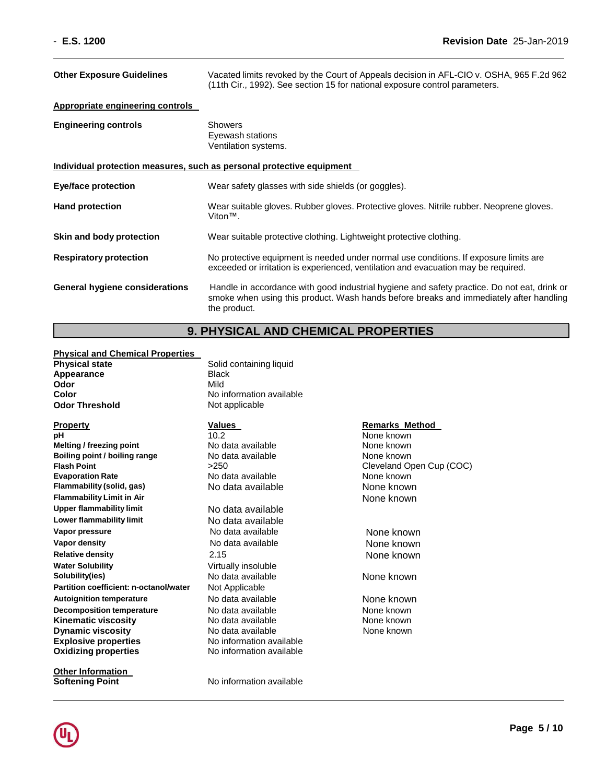| <b>Other Exposure Guidelines</b>                                      | Vacated limits revoked by the Court of Appeals decision in AFL-CIO v. OSHA, 965 F.2d 962<br>(11th Cir., 1992). See section 15 for national exposure control parameters.                               |  |
|-----------------------------------------------------------------------|-------------------------------------------------------------------------------------------------------------------------------------------------------------------------------------------------------|--|
| <b>Appropriate engineering controls</b>                               |                                                                                                                                                                                                       |  |
| <b>Engineering controls</b>                                           | <b>Showers</b><br>Eyewash stations<br>Ventilation systems.                                                                                                                                            |  |
| Individual protection measures, such as personal protective equipment |                                                                                                                                                                                                       |  |
| Eye/face protection                                                   | Wear safety glasses with side shields (or goggles).                                                                                                                                                   |  |
| <b>Hand protection</b>                                                | Wear suitable gloves. Rubber gloves. Protective gloves. Nitrile rubber. Neoprene gloves.<br>$V$ iton™.                                                                                                |  |
| Skin and body protection                                              | Wear suitable protective clothing. Lightweight protective clothing.                                                                                                                                   |  |
| <b>Respiratory protection</b>                                         | No protective equipment is needed under normal use conditions. If exposure limits are<br>exceeded or irritation is experienced, ventilation and evacuation may be required.                           |  |
| General hygiene considerations                                        | Handle in accordance with good industrial hygiene and safety practice. Do not eat, drink or<br>smoke when using this product. Wash hands before breaks and immediately after handling<br>the product. |  |

## **9. PHYSICAL AND CHEMICAL PROPERTIES**

## **Physical and Chemical Properties**

| <b>Physical state</b> | Soli |
|-----------------------|------|
| Appearance            | Blac |
| Odor                  | Mild |
| Color                 | No i |
| <b>Odor Threshold</b> | Not  |

**pH** 10.2 None known **Melting / freezing point Modata available** Mone known<br> **Boiling point / boiling range** No data available **None known Boiling point / boiling range <br>
<b>Flash Point** Point **Point Property** S250<br> **Plash Point** Cleveland Or **Flash Point**<br> **Evaporation Rate**<br> **Evaporation Rate**<br> **None known**<br> **Evaporation Rate**<br> **None known Flammability** (solid, gas) No data available None known **Flammability Limit in Air** None known **Upper flammability limit** No data available **Lower flammability limit** No data available **Vapor pressure** No data available None known **Vapor density**<br> **Relative density**<br>
2.15 2.15 2.15 None known **Water Solubility** Virtually insoluble **Solubility(ies) No data available None known Partition coefficient: n-octanol/water** Not Applicable **Autoignition temperature No data available None known**<br> **Decomposition temperature No data available None known Decomposition temperature** No data available **None known**<br> **Kinematic viscosity** No data available **None known**<br>
None known **Kinematic viscosity No data available None known Dynamic viscosity** No data available **Explosive properties** No information available **Oxidizing properties** No information available

**Other Information Softening Point** No information available

**Solid containing liquid Black No information available Not applicable** 

No data available

**Relative density** 2.15 None known

## **Property CONSISTENT METHOD Values Values Remarks Method**

None known

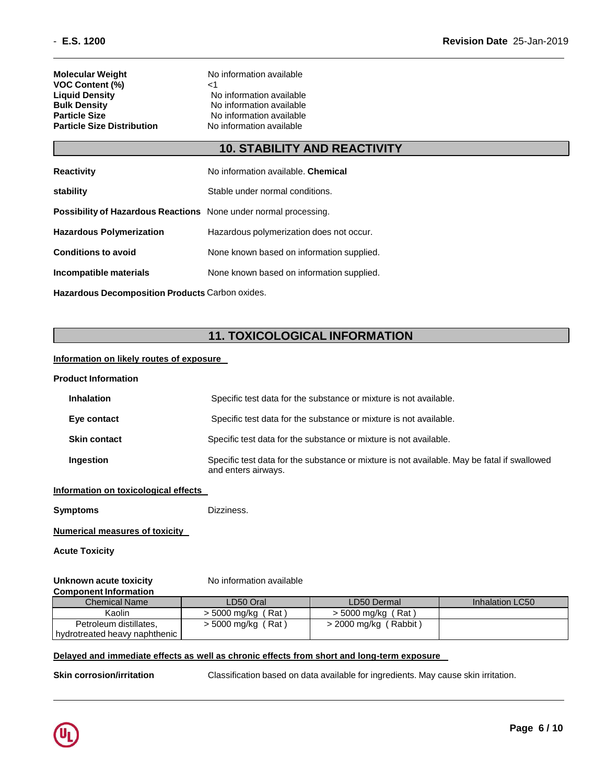| Molecular Weight           | Nc |
|----------------------------|----|
| <b>VOC Content (%)</b>     | ا> |
| <b>Liguid Density</b>      | N  |
| <b>Bulk Density</b>        | N  |
| Particle Size              | N  |
| Particle Size Distribution | Nc |

**No information available No information available No information available No information available No information available** 

## **10. STABILITY AND REACTIVITY**

| <b>Reactivity</b>                                                       | No information available. Chemical        |
|-------------------------------------------------------------------------|-------------------------------------------|
| stability                                                               | Stable under normal conditions.           |
| <b>Possibility of Hazardous Reactions</b> None under normal processing. |                                           |
| <b>Hazardous Polymerization</b>                                         | Hazardous polymerization does not occur.  |
| <b>Conditions to avoid</b>                                              | None known based on information supplied. |
| Incompatible materials                                                  | None known based on information supplied. |
| Hazardous Decomposition Products Carbon oxides.                         |                                           |

## **11. TOXICOLOGICAL INFORMATION**

## **Information on likely routes of exposure**

| <b>Product Information</b>           |                                                                                                                    |
|--------------------------------------|--------------------------------------------------------------------------------------------------------------------|
| <b>Inhalation</b>                    | Specific test data for the substance or mixture is not available.                                                  |
| Eye contact                          | Specific test data for the substance or mixture is not available.                                                  |
| <b>Skin contact</b>                  | Specific test data for the substance or mixture is not available.                                                  |
| Ingestion                            | Specific test data for the substance or mixture is not available. May be fatal if swallowed<br>and enters airways. |
| Information on texionionioni effecto |                                                                                                                    |

## **Information on toxicological effects**

**Symptoms** Dizziness.

## **Numerical measures of toxicity**

**Acute Toxicity**

#### **Unknown** acute toxicity **Component Information**

| No information available |
|--------------------------|
|--------------------------|

| <u>UUINUUTUIN IINUI IIKKIUT</u> |                      |                         |                 |
|---------------------------------|----------------------|-------------------------|-----------------|
| <b>Chemical Name</b>            | LD50 Oral            | LD50 Dermal             | Inhalation LC50 |
| Kaolin                          | > 5000 mg/kg (Rat)   | $>$ 5000 mg/kg (Rat)    |                 |
| Petroleum distillates,          | $>$ 5000 mg/kg (Rat) | $>$ 2000 mg/kg (Rabbit) |                 |
| hydrotreated heavy naphthenic   |                      |                         |                 |

## **Delayed and immediate effects as well as chronic effects from short and long-term exposure**

**Skin corrosion/irritation** Classification based on data available for ingredients. May cause skin irritation.

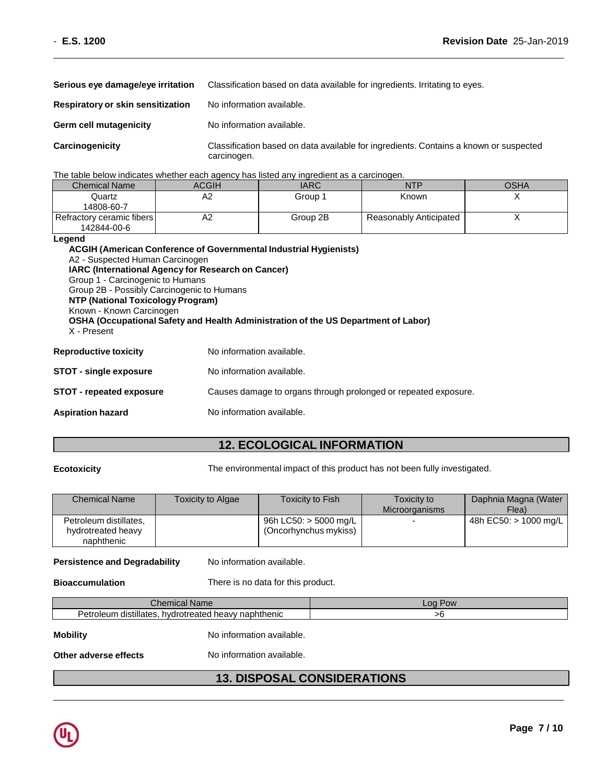| Serious eye damage/eye irritation | Classification based on data available for ingredients. Irritating to eyes.                          |
|-----------------------------------|------------------------------------------------------------------------------------------------------|
| Respiratory or skin sensitization | No information available.                                                                            |
| Germ cell mutagenicity            | No information available.                                                                            |
| Carcinogenicity                   | Classification based on data available for ingredients. Contains a known or suspected<br>carcinogen. |

The table below indicates whether each agency has listed any ingredient as a carcinogen.

| <b>Chemical Name</b>      | ACGIH | <b>IARC</b> | NTP                    | OSHA |
|---------------------------|-------|-------------|------------------------|------|
| Quartz                    | A2    | Group 1     | Known                  |      |
| 14808-60-7                |       |             |                        |      |
| Refractory ceramic fibers | A2    | Group 2B    | Reasonably Anticipated |      |
| 142844-00-6               |       |             |                        |      |

## **Legend**

| A2 - Suspected Human Carcinogen<br><b>IARC (International Agency for Research on Cancer)</b><br>Group 1 - Carcinogenic to Humans<br>Group 2B - Possibly Carcinogenic to Humans<br>NTP (National Toxicology Program)<br>Known - Known Carcinogen<br>X - Present | <b>ACGIH (American Conference of Governmental Industrial Hygienists)</b><br><b>OSHA (Occupational Safety and Health Administration of the US Department of Labor)</b> |  |
|----------------------------------------------------------------------------------------------------------------------------------------------------------------------------------------------------------------------------------------------------------------|-----------------------------------------------------------------------------------------------------------------------------------------------------------------------|--|
| <b>Reproductive toxicity</b>                                                                                                                                                                                                                                   | No information available.                                                                                                                                             |  |
| <b>STOT - single exposure</b>                                                                                                                                                                                                                                  | No information available.                                                                                                                                             |  |
| STOT - repeated exposure                                                                                                                                                                                                                                       | Causes damage to organs through prolonged or repeated exposure.                                                                                                       |  |
| <b>Aspiration hazard</b>                                                                                                                                                                                                                                       | No information available.                                                                                                                                             |  |

## **12. ECOLOGICAL INFORMATION**

**Ecotoxicity** The environmental impact of this product has not been fully investigated.

| <b>Chemical Name</b>                                       | <b>Toxicity to Algae</b> | Toxicity to Fish                                 | Toxicity to              | Daphnia Magna (Water  |
|------------------------------------------------------------|--------------------------|--------------------------------------------------|--------------------------|-----------------------|
|                                                            |                          |                                                  | Microorganisms           | Flea)                 |
| Petroleum distillates,<br>hydrotreated heavy<br>naphthenic |                          | 96h LC50: $>$ 5000 mg/L<br>(Oncorhynchus mykiss) | $\overline{\phantom{0}}$ | 48h EC50: > 1000 mg/L |

**Persistence and Degradability** No information available.

**Bioaccumulation** There is no data for this product.

| ററ<br>$\overline{\phantom{a}}$<br><b>OW</b> | .n<br>anne                                                                        |
|---------------------------------------------|-----------------------------------------------------------------------------------|
| phthenic<br>. .<br>.                        | $\cdots$<br>Petro<br>hydrotreater<br>nlei<br>ın<br>distillates<br>neavv<br>reater |
|                                             |                                                                                   |

**Mobility** Motor No information available.

**Other adverse effects** No information available.

## **13. DISPOSAL CONSIDERATIONS**

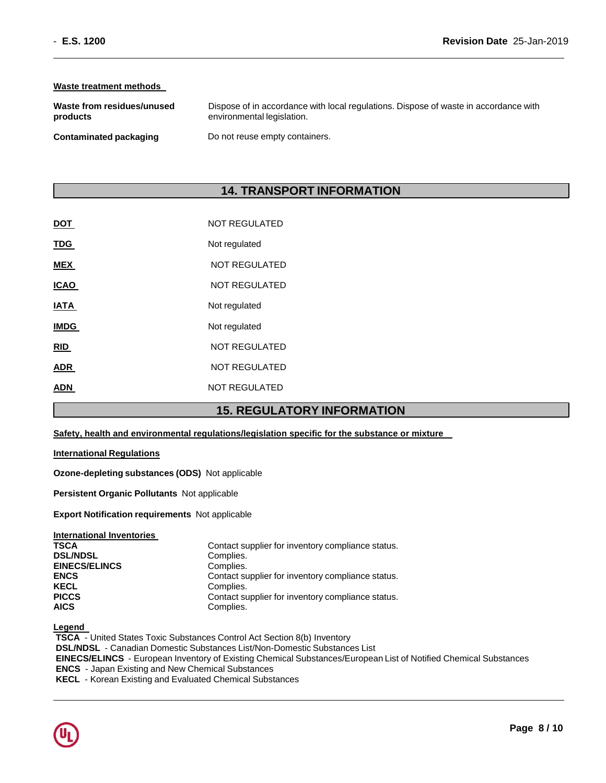## **Waste treatment methods**

| Waste from residues/unused | Dispose of in accordance with local regulations. Dispose of waste in accordance with |
|----------------------------|--------------------------------------------------------------------------------------|
| products                   | environmental legislation.                                                           |
| Contaminated packaging     | Do not reuse empty containers.                                                       |

## **14. TRANSPORT INFORMATION**

| <b>DOT</b>  | <b>NOT REGULATED</b> |
|-------------|----------------------|
| <u>TDG</u>  | Not regulated        |
| <b>MEX</b>  | <b>NOT REGULATED</b> |
| <b>ICAO</b> | <b>NOT REGULATED</b> |
| IATA        | Not regulated        |
| <b>IMDG</b> | Not regulated        |
| RID         | <b>NOT REGULATED</b> |
| <b>ADR</b>  | <b>NOT REGULATED</b> |
| ADN         | <b>NOT REGULATED</b> |
|             |                      |

## **15. REGULATORY INFORMATION**

### **Safety, health and environmental regulations/legislation specific for the substance or mixture**

### **International Regulations**

**Ozone-depleting substances (ODS)** Not applicable

**Persistent Organic Pollutants** Not applicable

**Export Notification requirements** Not applicable

| Contact supplier for inventory compliance status. |
|---------------------------------------------------|
| Complies.                                         |
| Complies.                                         |
| Contact supplier for inventory compliance status. |
| Complies.                                         |
| Contact supplier for inventory compliance status. |
| Complies.                                         |
|                                                   |

**Legend** 

**TSCA** - United States Toxic Substances Control Act Section 8(b) Inventory **DSL/NDSL** - Canadian Domestic Substances List/Non-Domestic Substances List **EINECS/ELINCS** - European Inventory of Existing Chemical Substances/European List of Notified Chemical Substances **ENCS** - Japan Existing and New Chemical Substances **KECL** - Korean Existing and Evaluated Chemical Substances

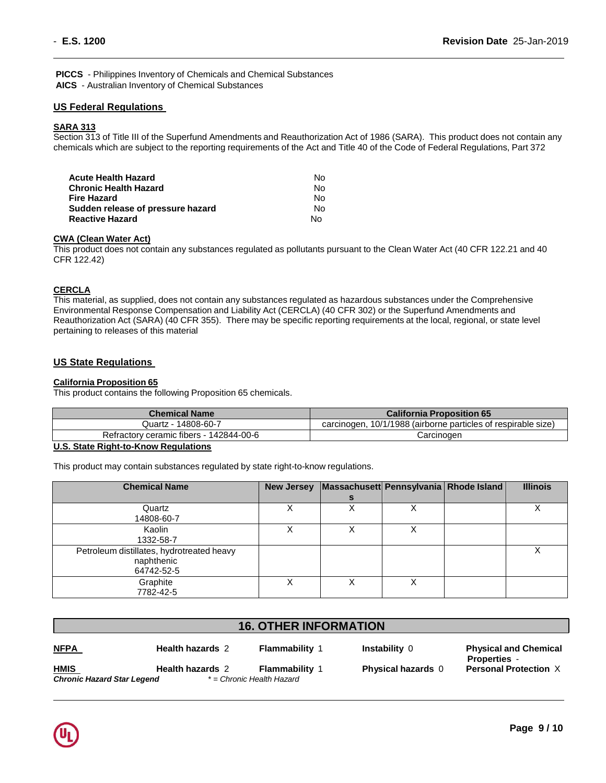**PICCS** - Philippines Inventory of Chemicals and Chemical Substances **AICS** - Australian Inventory of Chemical Substances

## **US Federal Regulations**

## **SARA 313**

Section 313 of Title III of the Superfund Amendments and Reauthorization Act of 1986 (SARA). This product does not contain any chemicals which are subject to the reporting requirements of the Act and Title 40 of the Code of Federal Regulations, Part 372

| Acute Health Hazard               | No. |
|-----------------------------------|-----|
| Chronic Health Hazard             | No. |
| Fire Hazard                       | No. |
| Sudden release of pressure hazard | No. |
| Reactive Hazard                   | N٥  |

### **CWA (Clean Water Act)**

This product does not contain any substances regulated as pollutants pursuant to the Clean Water Act (40 CFR 122.21 and 40 CFR 122.42)

## **CERCLA**

This material, as supplied, does not contain any substances regulated as hazardous substances under the Comprehensive Environmental Response Compensation and Liability Act (CERCLA) (40 CFR 302) or the Superfund Amendments and Reauthorization Act (SARA) (40 CFR 355). There may be specific reporting requirements at the local, regional, or state level pertaining to releases of this material

## **US State Regulations**

### **California Proposition 65**

This product contains the following Proposition 65 chemicals.

| <b>Chemical Name</b>                                       | <b>California Proposition 65</b>                              |
|------------------------------------------------------------|---------------------------------------------------------------|
| Quartz - 14808-60-7                                        | carcinogen, 10/1/1988 (airborne particles of respirable size) |
| Refractory ceramic fibers - 142844-00-6                    | Carcinoɑen                                                    |
| $\mathbf{a}$ . The $\mathbf{a}$ is the set of $\mathbf{a}$ |                                                               |

### **U.S. State Right-to-Know Regulations**

This product may contain substances regulated by state right-to-know regulations.

| <b>Chemical Name</b>                      | <b>New Jersey</b> | Massachusett Pennsylvania Rhode Island |   | <b>Illinois</b> |
|-------------------------------------------|-------------------|----------------------------------------|---|-----------------|
|                                           |                   | s                                      |   |                 |
| Quartz                                    | х                 |                                        |   |                 |
| 14808-60-7                                |                   |                                        |   |                 |
| Kaolin                                    | Х                 | Χ                                      | Х |                 |
| 1332-58-7                                 |                   |                                        |   |                 |
| Petroleum distillates, hydrotreated heavy |                   |                                        |   |                 |
| naphthenic                                |                   |                                        |   |                 |
| 64742-52-5                                |                   |                                        |   |                 |
| Graphite                                  | Χ                 |                                        |   |                 |
| 7782-42-5                                 |                   |                                        |   |                 |

## **16. OTHER INFORMATION**

|--|

*Chronic Hazard Star Legend \* = Chronic Health Hazard*

**HMIS Health hazards** 2 **Flammability** 1 **Physical hazards** 0

**NFPA Health hazards** 2 **Flammability** 1 **Instability** 0 **Physical and Chemical Properties** - **Personal Protection** X